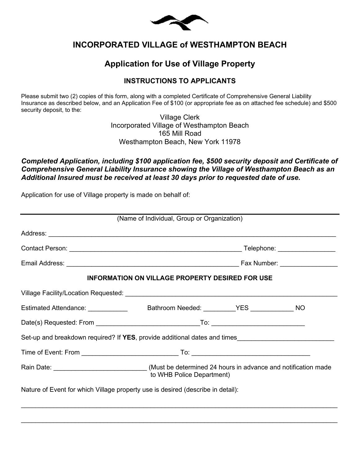

# **INCORPORATED VILLAGE of WESTHAMPTON BEACH**

# **Application for Use of Village Property**

### **INSTRUCTIONS TO APPLICANTS**

Please submit two (2) copies of this form, along with a completed Certificate of Comprehensive General Liability Insurance as described below, and an Application Fee of \$100 (or appropriate fee as on attached fee schedule) and \$500 security deposit, to the:

> Village Clerk Incorporated Village of Westhampton Beach 165 Mill Road Westhampton Beach, New York 11978

#### *Completed Application, including \$100 application fee, \$500 security deposit and Certificate of Comprehensive General Liability Insurance showing the Village of Westhampton Beach as an Additional Insured must be received at least 30 days prior to requested date of use.*

Application for use of Village property is made on behalf of:

|                                                                                                         | (Name of Individual, Group or Organization) |  |  |  |  |  |
|---------------------------------------------------------------------------------------------------------|---------------------------------------------|--|--|--|--|--|
|                                                                                                         |                                             |  |  |  |  |  |
|                                                                                                         |                                             |  |  |  |  |  |
|                                                                                                         |                                             |  |  |  |  |  |
| <b>INFORMATION ON VILLAGE PROPERTY DESIRED FOR USE</b>                                                  |                                             |  |  |  |  |  |
|                                                                                                         |                                             |  |  |  |  |  |
|                                                                                                         |                                             |  |  |  |  |  |
|                                                                                                         |                                             |  |  |  |  |  |
| Set-up and breakdown required? If YES, provide additional dates and times                               |                                             |  |  |  |  |  |
|                                                                                                         |                                             |  |  |  |  |  |
| Rain Date: _______________________________(Must be determined 24 hours in advance and notification made | to WHB Police Department)                   |  |  |  |  |  |
| Nature of Event for which Village property use is desired (describe in detail):                         |                                             |  |  |  |  |  |

 $\_$  . The contribution of the contribution of the contribution of the contribution of the contribution of the contribution of the contribution of the contribution of the contribution of the contribution of the contributio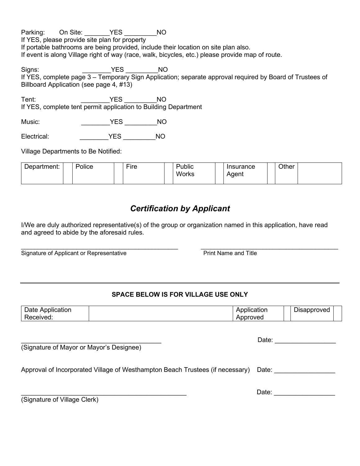Parking: On Site: \_\_\_\_\_\_\_YES \_\_\_\_\_\_\_\_\_NO If YES, please provide site plan for property If portable bathrooms are being provided, include their location on site plan also. If event is along Village right of way (race, walk, bicycles, etc.) please provide map of route.

Signs: The Signs: The Signs: The Signs: The Signs of Signs and Signs and Signs and Signs and Signs and Signs and Signs and Signs and Signs and Signs and Signs and Signs and Signs and Signs and Signs and Signs and Signs and If YES, complete page 3 – Temporary Sign Application; separate approval required by Board of Trustees of Billboard Application (see page 4, #13)

Tent: \_\_\_\_\_\_\_\_YES \_\_\_\_\_\_\_\_\_NO If YES, complete tent permit application to Building Department

Music: \_\_\_\_\_\_\_\_YES \_\_\_\_\_\_\_\_\_NO

Electrical: \_\_\_\_\_\_\_\_YES \_\_\_\_\_\_\_\_\_NO

Village Departments to Be Notified:

| Department:<br>-- | Police | $- \cdot$<br>⊢ıre | .<br>Public | าsurance | Other |  |
|-------------------|--------|-------------------|-------------|----------|-------|--|
|                   |        |                   | Works       | Adent    |       |  |
|                   |        |                   |             |          |       |  |

# *Certification by Applicant*

I/We are duly authorized representative(s) of the group or organization named in this application, have read and agreed to abide by the aforesaid rules.

Signature of Applicant or Representative **Print Name and Title** Print Name and Title

## **SPACE BELOW IS FOR VILLAGE USE ONLY**

| . .<br>≞nnlication<br>)ate<br>cation | ∵atıon<br>nн<br>. . | -<br>approved |
|--------------------------------------|---------------------|---------------|
| eived.<br>÷.                         | эτ<br>.er<br>w      |               |

(Signature of Mayor or Mayor's Designee)

Approval of Incorporated Village of Westhampton Beach Trustees (if necessary) Date:

(Signature of Village Clerk)

\_\_\_\_\_\_\_\_\_\_\_\_\_\_\_\_\_\_\_\_\_\_\_\_\_\_\_\_\_\_\_\_\_\_\_\_\_\_\_\_\_\_\_\_\_\_ Date: \_\_\_\_\_\_\_\_\_\_\_\_\_\_\_\_\_

\_\_\_\_\_\_\_\_\_\_\_\_\_\_\_\_\_\_\_\_\_\_\_\_\_\_\_\_\_\_\_\_\_\_\_\_\_\_\_\_\_\_\_\_\_\_\_\_ \_\_\_\_\_\_\_\_\_\_\_\_\_\_\_\_\_\_\_\_\_\_\_\_\_\_\_\_\_\_\_\_\_\_\_\_\_\_\_\_\_\_

\_\_\_\_\_\_\_\_\_\_\_\_\_\_\_\_\_\_\_\_\_\_\_\_\_\_\_\_\_\_\_\_\_\_\_\_\_\_\_Date: \_\_\_\_\_\_\_\_\_\_\_\_\_\_\_\_\_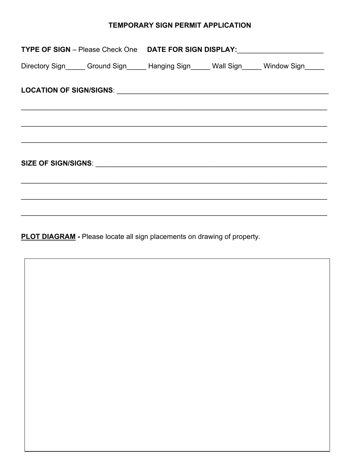## TEMPORARY SIGN PERMIT APPLICATION

| TYPE OF SIGN - Please Check One  DATE FOR SIGN DISPLAY: ________________________                                                                                                                                                     |  |  |
|--------------------------------------------------------------------------------------------------------------------------------------------------------------------------------------------------------------------------------------|--|--|
| Directory Sign______ Ground Sign______ Hanging Sign______ Wall Sign______ Window Sign_____                                                                                                                                           |  |  |
| LOCATION OF SIGN/SIGNS: <b>And Accepted Accepted Accepted Accepted Accepted Accepted Accepted Accepted Accepted Accepted Accepted Accepted Accepted Accepted Accepted Accepted Accepted Accepted Accepted Accepted Accepted Acce</b> |  |  |
|                                                                                                                                                                                                                                      |  |  |
|                                                                                                                                                                                                                                      |  |  |

**PLOT DIAGRAM** - Please locate all sign placements on drawing of property.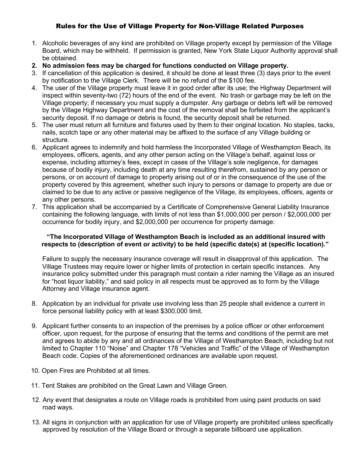### Rules for the Use of Village Property for Non-Village Related Purposes

- 1. Alcoholic beverages of any kind are prohibited on Village property except by permission of the Village Board, which may be withheld. If permission is granted, New York State Liquor Authority approval shall be obtained.
- **2. No admission fees may be charged for functions conducted on Village property.**
- 3. If cancellation of this application is desired, it should be done at least three (3) days prior to the event by notification to the Village Clerk. There will be no refund of the \$100 fee.
- 4. The user of the Village property must leave it in good order after its use; the Highway Department will inspect within seventy-two (72) hours of the end of the event. No trash or garbage may be left on the Village property; if necessary you must supply a dumpster. Any garbage or debris left will be removed by the Village Highway Department and the cost of the removal shall be forfeited from the applicant's security deposit. If no damage or debris is found, the security deposit shall be returned.
- 5. The user must return all furniture and fixtures used by them to their original location. No staples, tacks, nails, scotch tape or any other material may be affixed to the surface of any Village building or structure.
- 6. Applicant agrees to indemnify and hold harmless the Incorporated Village of Westhampton Beach, its employees, officers, agents, and any other person acting on the Village's behalf, against loss or expense, including attorney's fees, except in cases of the Village's sole negligence, for damages because of bodily injury, including death at any time resulting therefrom, sustained by any person or persons, or on account of damage to property arising out of or in the consequence of the use of the property covered by this agreement, whether such injury to persons or damage to property are due or claimed to be due to any active or passive negligence of the Village, its employees, officers, agents or any other persons.
- 7. This application shall be accompanied by a Certificate of Comprehensive General Liability Insurance containing the following language, with limits of not less than \$1,000,000 per person / \$2,000,000 per occurrence for bodily injury, and \$2,000,000 per occurrence for property damage:

#### **"The Incorporated Village of Westhampton Beach is included as an additional insured with respects to (description of event or activity) to be held (specific date(s) at (specific location)."**

Failure to supply the necessary insurance coverage will result in disapproval of this application. The Village Trustees may require lower or higher limits of protection in certain specific instances. Any insurance policy submitted under this paragraph must contain a rider naming the Village as an insured for "host liquor liability," and said policy in all respects must be approved as to form by the Village Attorney and Village insurance agent.

- 8. Application by an individual for private use involving less than 25 people shall evidence a current in force personal liability policy with at least \$300,000 limit.
- 9. Applicant further consents to an inspection of the premises by a police officer or other enforcement officer, upon request, for the purpose of ensuring that the terms and conditions of the permit are met and agrees to abide by any and all ordinances of the Village of Westhampton Beach, including but not limited to Chapter 110 "Noise" and Chapter 178 "Vehicles and Traffic" of the Village of Westhampton Beach code. Copies of the aforementioned ordinances are available upon request.
- 10. Open Fires are Prohibited at all times.
- 11. Tent Stakes are prohibited on the Great Lawn and Village Green.
- 12. Any event that designates a route on Village roads is prohibited from using paint products on said road ways.
- 13. All signs in conjunction with an application for use of Village property are prohibited unless specifically approved by resolution of the Village Board or through a separate billboard use application.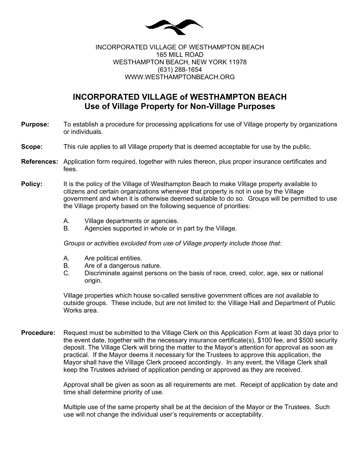

#### INCORPORATED VILLAGE OF WESTHAMPTON BEACH 165 MILL ROAD WESTHAMPTON BEACH, NEW YORK 11978 (631) 288-1654 WWW.WESTHAMPTONBEACH.ORG

# **INCORPORATED VILLAGE of WESTHAMPTON BEACH Use of Village Property for Non-Village Purposes**

- **Purpose:** To establish a procedure for processing applications for use of Village property by organizations or individuals.
- **Scope:** This rule applies to all Village property that is deemed acceptable for use by the public.
- **References:** Application form required, together with rules thereon, plus proper insurance certificates and fees.
- **Policy:** It is the policy of the Village of Westhampton Beach to make Village property available to citizens and certain organizations whenever that property is not in use by the Village government and when it is otherwise deemed suitable to do so. Groups will be permitted to use the Village property based on the following sequence of priorities:
	- A. Village departments or agencies.
	- B. Agencies supported in whole or in part by the Village.

*Groups or activities excluded from use of Village property include those that:*

- A. Are political entities.
- B. Are of a dangerous nature.<br>C. Discriminate against persor
- Discriminate against persons on the basis of race, creed, color, age, sex or national origin.

Village properties which house so-called sensitive government offices are not available to outside groups. These include, but are not limited to: the Village Hall and Department of Public Works area.

**Procedure:** Request must be submitted to the Village Clerk on this Application Form at least 30 days prior to the event date, together with the necessary insurance certificate(s), \$100 fee, and \$500 security deposit. The Village Clerk will bring the matter to the Mayor's attention for approval as soon as practical. If the Mayor deems it necessary for the Trustees to approve this application, the Mayor shall have the Village Clerk proceed accordingly. In any event, the Village Clerk shall keep the Trustees advised of application pending or approved as they are received.

> Approval shall be given as soon as all requirements are met. Receipt of application by date and time shall determine priority of use.

Multiple use of the same property shall be at the decision of the Mayor or the Trustees. Such use will not change the individual user's requirements or acceptability.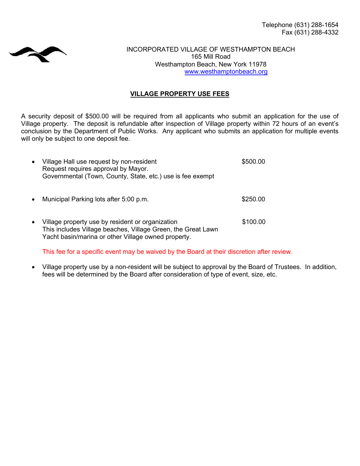

INCORPORATED VILLAGE OF WESTHAMPTON BEACH 165 Mill Road Westhampton Beach, New York 11978 [www.westhamptonbeach.org](http://www.westhamptonbeach.org/)

#### **VILLAGE PROPERTY USE FEES**

A security deposit of \$500.00 will be required from all applicants who submit an application for the use of Village property. The deposit is refundable after inspection of Village property within 72 hours of an event's conclusion by the Department of Public Works. Any applicant who submits an application for multiple events will only be subject to one deposit fee.

| Village Hall use request by non-resident<br>Request requires approval by Mayor.<br>Governmental (Town, County, State, etc.) use is fee exempt                           | \$500.00 |
|-------------------------------------------------------------------------------------------------------------------------------------------------------------------------|----------|
| Municipal Parking lots after 5:00 p.m.                                                                                                                                  | \$250.00 |
| Village property use by resident or organization<br>This includes Village beaches, Village Green, the Great Lawn<br>Yacht basin/marina or other Village owned property. | \$100.00 |

This fee for a specific event may be waived by the Board at their discretion after review.

• Village property use by a non-resident will be subject to approval by the Board of Trustees. In addition, fees will be determined by the Board after consideration of type of event, size, etc.